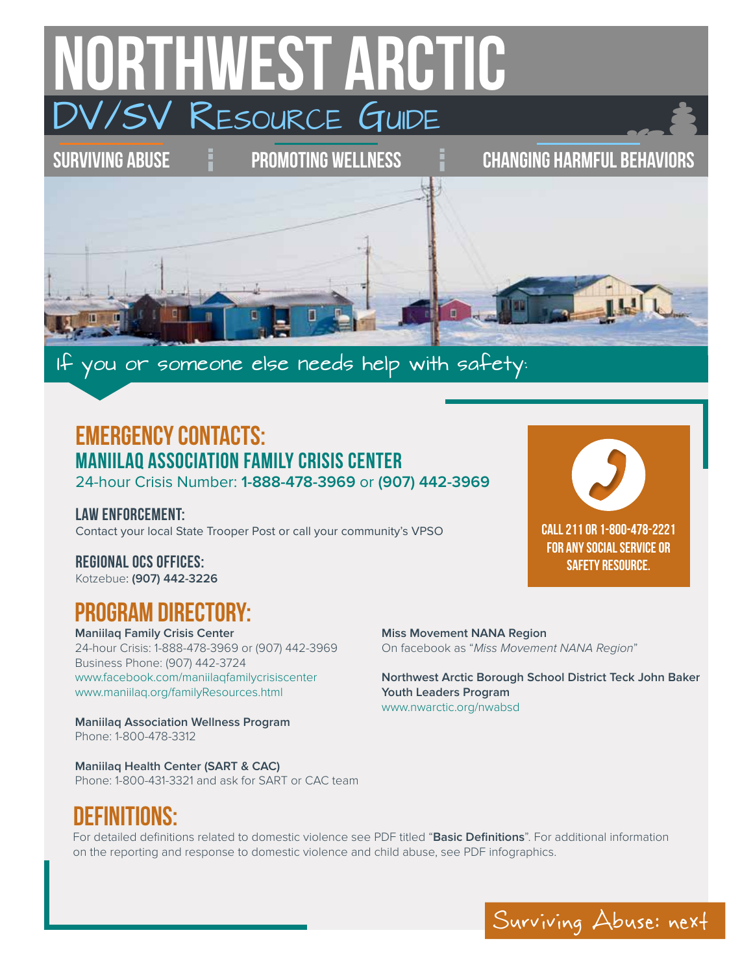# RESOURCE GUIDE Northwest arctic





If you or someone else needs help with safety:

### Emergency Contacts: Maniilaq Association Family Crisis Center

24-hour Crisis Number: **1-888-478-3969** or **(907) 442-3969**

Law enforcement: Contact your local State Trooper Post or call your community's VPSO

Regional OCS Offices: Kotzebue: **(907) 442-3226**

# Program Directory:

**Maniilaq Family Crisis Center**

24-hour Crisis: 1-888-478-3969 or (907) 442-3969 Business Phone: (907) 442-3724 www.facebook.com/maniilaqfamilycrisiscenter www.maniilaq.org/familyResources.html

**Maniilaq Association Wellness Program** Phone: 1-800-478-3312

**Maniilaq Health Center (SART & CAC)**

Phone: 1-800-431-3321 and ask for SART or CAC team

# Definitions:

For detailed definitions related to domestic violence see PDF titled "**Basic Definitions**". For additional information on the reporting and response to domestic violence and child abuse, see PDF infographics.



**Miss Movement NANA Region** On facebook as "*Miss Movement NANA Region*"

**Northwest Arctic Borough School District Teck John Baker Youth Leaders Program** www.nwarctic.org/nwabsd

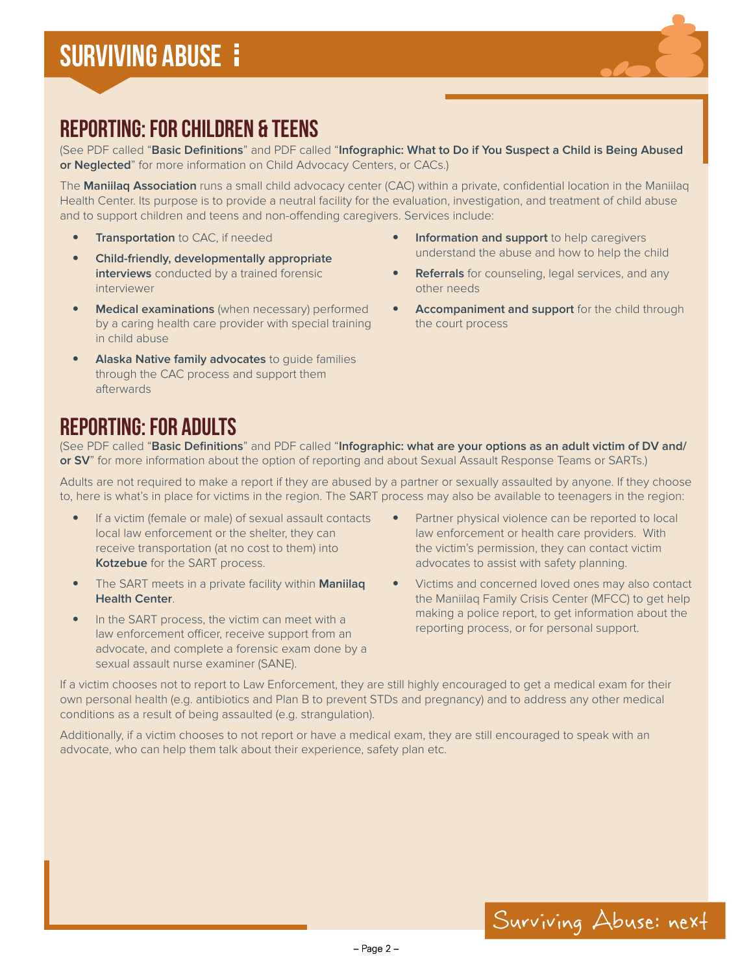

### Reporting: For children & Teens

(See PDF called "**Basic Definitions**" and PDF called "**Infographic: What to Do if You Suspect a Child is Being Abused or Neglected**" for more information on Child Advocacy Centers, or CACs.)

The **Maniilaq Association** runs a small child advocacy center (CAC) within a private, confidential location in the Maniilaq Health Center. Its purpose is to provide a neutral facility for the evaluation, investigation, and treatment of child abuse and to support children and teens and non-offending caregivers. Services include:

- **Transportation** to CAC, if needed
- **Child-friendly, developmentally appropriate interviews** conducted by a trained forensic interviewer
- **Medical examinations** (when necessary) performed by a caring health care provider with special training in child abuse
- **Alaska Native family advocates** to guide families through the CAC process and support them afterwards
- **Information and support** to help caregivers understand the abuse and how to help the child
- **Referrals** for counseling, legal services, and any other needs
- **Accompaniment and support** for the child through the court process

### Reporting: For Adults

(See PDF called "**Basic Definitions**" and PDF called "**Infographic: what are your options as an adult victim of DV and/ or SV**" for more information about the option of reporting and about Sexual Assault Response Teams or SARTs.)

Adults are not required to make a report if they are abused by a partner or sexually assaulted by anyone. If they choose to, here is what's in place for victims in the region. The SART process may also be available to teenagers in the region:

- If a victim (female or male) of sexual assault contacts local law enforcement or the shelter, they can receive transportation (at no cost to them) into **Kotzebue** for the SART process.
- The SART meets in a private facility within **Maniilaq Health Center**.
- In the SART process, the victim can meet with a law enforcement officer, receive support from an advocate, and complete a forensic exam done by a sexual assault nurse examiner (SANE).
- Partner physical violence can be reported to local law enforcement or health care providers. With the victim's permission, they can contact victim advocates to assist with safety planning.
- Victims and concerned loved ones may also contact the Maniilaq Family Crisis Center (MFCC) to get help making a police report, to get information about the reporting process, or for personal support.

If a victim chooses not to report to Law Enforcement, they are still highly encouraged to get a medical exam for their own personal health (e.g. antibiotics and Plan B to prevent STDs and pregnancy) and to address any other medical conditions as a result of being assaulted (e.g. strangulation).

Additionally, if a victim chooses to not report or have a medical exam, they are still encouraged to speak with an advocate, who can help them talk about their experience, safety plan etc.

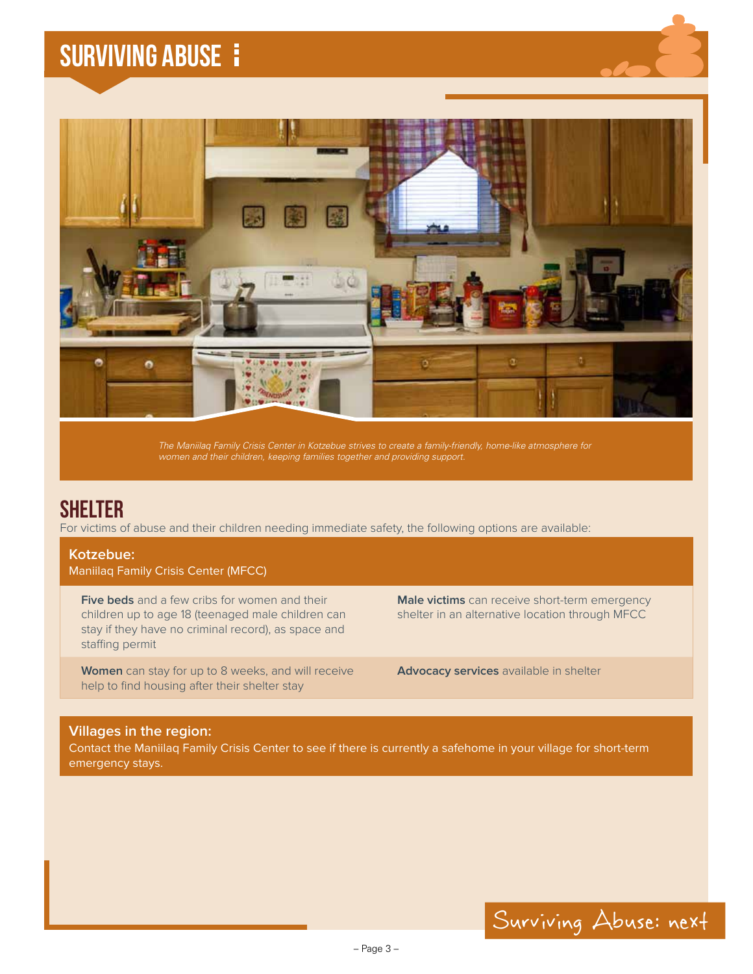# **SURVIVING ABUSE i**



*women and their children, keeping families together and providing support.*

### **SHELTER**

For victims of abuse and their children needing immediate safety, the following options are available:

#### **Kotzebue:**

Maniilaq Family Crisis Center (MFCC)

**Five beds** and a few cribs for women and their children up to age 18 (teenaged male children can stay if they have no criminal record), as space and staffing permit

**Women** can stay for up to 8 weeks, and will receive help to find housing after their shelter stay

**Male victims** can receive short-term emergency shelter in an alternative location through MFCC

**Advocacy services** available in shelter

#### **Villages in the region:**

Contact the Maniilaq Family Crisis Center to see if there is currently a safehome in your village for short-term emergency stays.

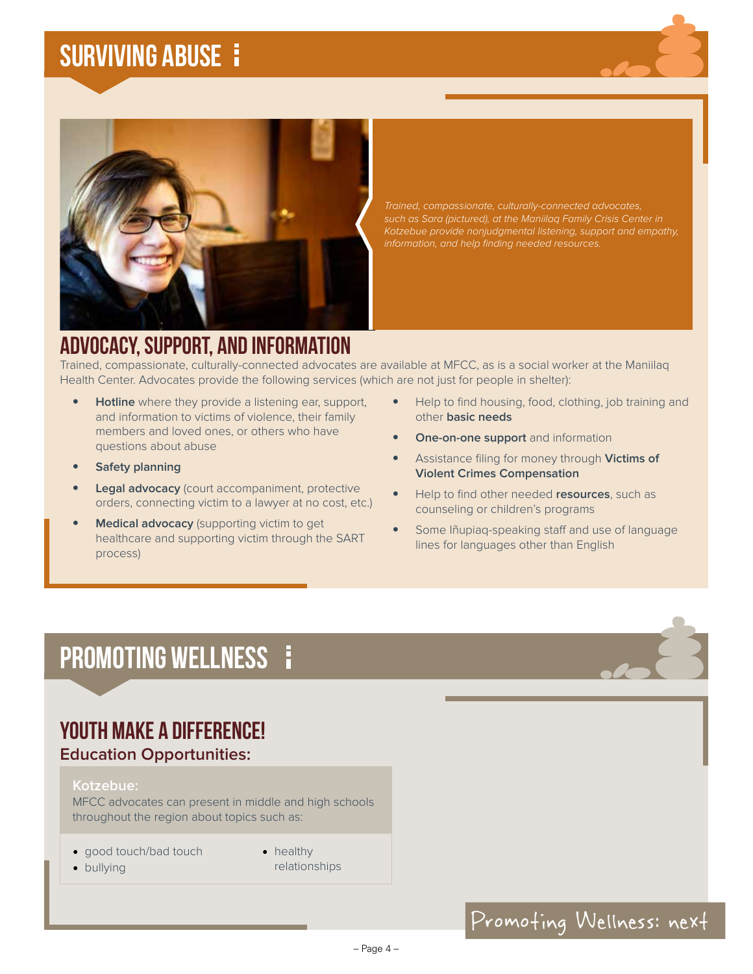# **SURVIVING ABUSE i**





*Trained, compassionate, culturally-connected advocates, such as Sara (pictured), at the Maniilaq Family Crisis Center in Kotzebue provide nonjudgmental listening, support and empathy, information, and help finding needed resources.*

### Advocacy, support, and information

Trained, compassionate, culturally-connected advocates are available at MFCC, as is a social worker at the Maniilaq Health Center. Advocates provide the following services (which are not just for people in shelter):

- **Hotline** where they provide a listening ear, support, and information to victims of violence, their family members and loved ones, or others who have questions about abuse
- **Safety planning**
- **Legal advocacy** (court accompaniment, protective orders, connecting victim to a lawyer at no cost, etc.)
- **Medical advocacy** (supporting victim to get healthcare and supporting victim through the SART process)
- Help to find housing, food, clothing, job training and other **basic needs**
- **One-on-one support** and information
- Assistance filing for money through **Victims of Violent Crimes Compensation**
- Help to find other needed **resources**, such as counseling or children's programs
- Some Iñupiaq-speaking staff and use of language lines for languages other than English

# PROMOTING WELLNESS i

### YOUTH MAKE A DIFFERENCE! **Education Opportunities:**

#### **Kotzebue:**

• bullying

MFCC advocates can present in middle and high schools throughout the region about topics such as:

- good touch/bad touch
	-
- healthy relationships

### Promoting Wellness: next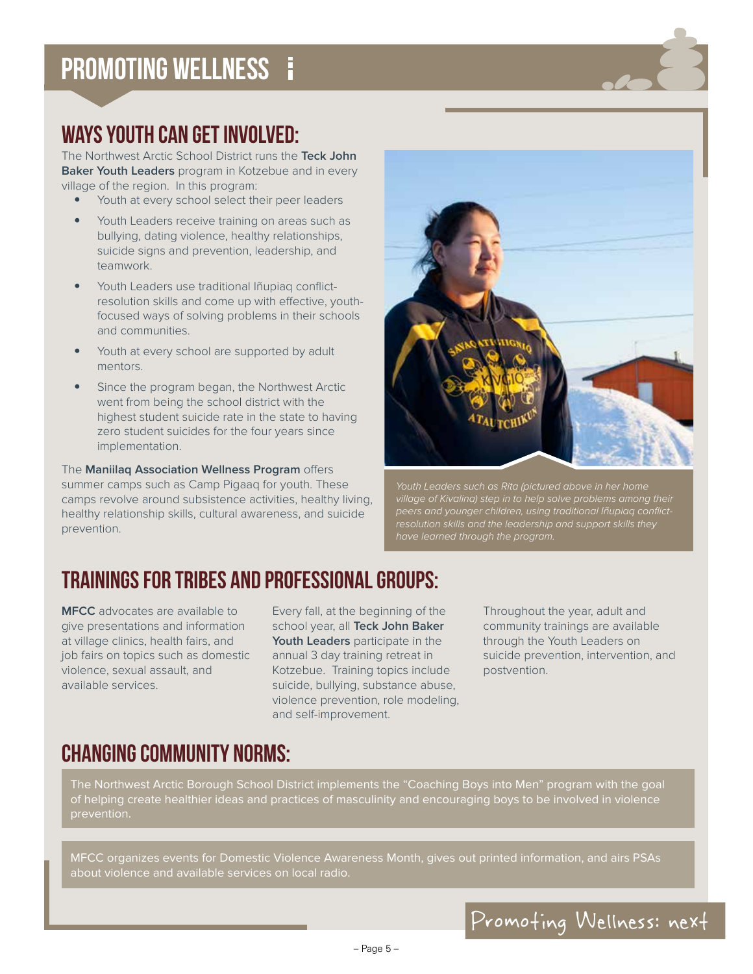# PROMOTING WELLNESS i

### Ways Youth Can Get Involved:

The Northwest Arctic School District runs the **Teck John Baker Youth Leaders** program in Kotzebue and in every village of the region. In this program:

- Youth at every school select their peer leaders
- Youth Leaders receive training on areas such as bullying, dating violence, healthy relationships, suicide signs and prevention, leadership, and teamwork.
- Youth Leaders use traditional Iñupiaq conflictresolution skills and come up with effective, youthfocused ways of solving problems in their schools and communities.
- Youth at every school are supported by adult mentors.
- Since the program began, the Northwest Arctic went from being the school district with the highest student suicide rate in the state to having zero student suicides for the four years since implementation.

The **Maniilaq Association Wellness Program** offers summer camps such as Camp Pigaaq for youth. These camps revolve around subsistence activities, healthy living, healthy relationship skills, cultural awareness, and suicide prevention.



*village of Kivalina) step in to help solve problems among their peers and younger children, using traditional Iñupiaq conflictresolution skills and the leadership and support skills they have learned through the program.* 

### Trainings for Tribes and Professional Groups:

**MFCC** advocates are available to give presentations and information at village clinics, health fairs, and job fairs on topics such as domestic violence, sexual assault, and available services.

Every fall, at the beginning of the school year, all **Teck John Baker Youth Leaders** participate in the annual 3 day training retreat in Kotzebue. Training topics include suicide, bullying, substance abuse, violence prevention, role modeling, and self-improvement.

Throughout the year, adult and community trainings are available through the Youth Leaders on suicide prevention, intervention, and postvention.

### Changing Community Norms:

The Northwest Arctic Borough School District implements the "Coaching Boys into Men" program with the goal of helping create healthier ideas and practices of masculinity and encouraging boys to be involved in violence prevention.

MFCC organizes events for Domestic Violence Awareness Month, gives out printed information, and airs PSAs about violence and available services on local radio.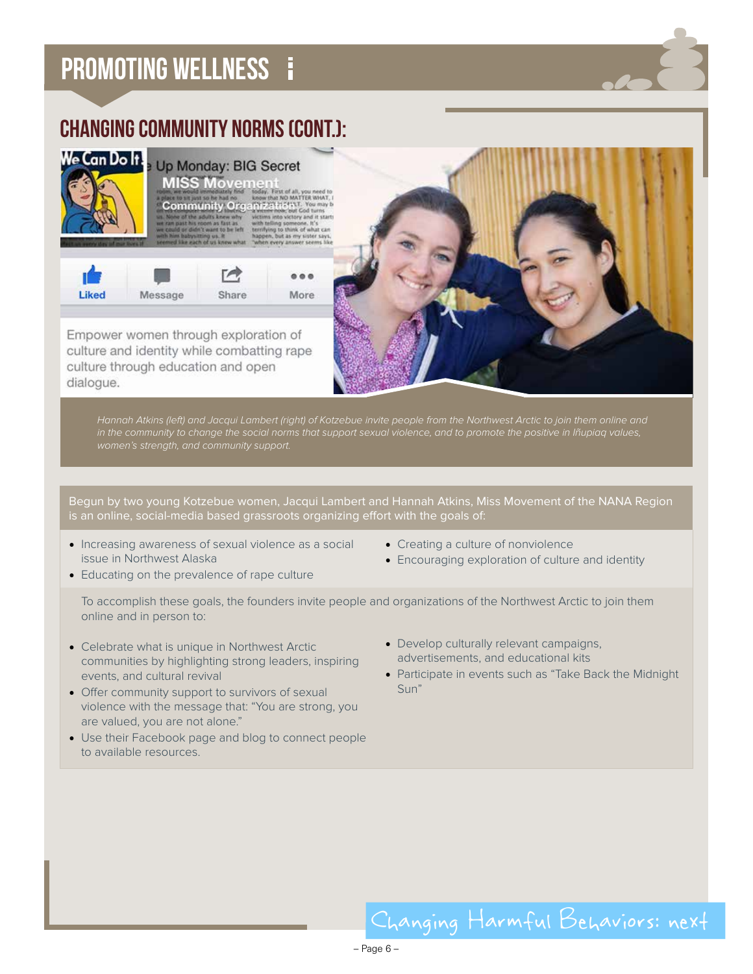# PROMOTING WELLNESS i

### changing community norms (Cont.):



### MISS Movement **Community Organization** : knew why<br>as fast as<br>nt to be left

ng someone, it's<br>to think of what can<br>but as my sister says.<br>ely answer seems lik



Empower women through exploration of culture and identity while combatting rape culture through education and open dialoque.



*Hannah Atkins (left) and Jacqui Lambert (right) of Kotzebue invite people from the Northwest Arctic to join them online and in the community to change the social norms that support sexual violence, and to promote the positive in Iñupiaq values, women's strength, and community support.*

Begun by two young Kotzebue women, Jacqui Lambert and Hannah Atkins, Miss Movement of the NANA Region is an online, social-media based grassroots organizing effort with the goals of:

- Increasing awareness of sexual violence as a social issue in Northwest Alaska
- Educating on the prevalence of rape culture
- Creating a culture of nonviolence
- Encouraging exploration of culture and identity

To accomplish these goals, the founders invite people and organizations of the Northwest Arctic to join them online and in person to:

- Celebrate what is unique in Northwest Arctic communities by highlighting strong leaders, inspiring events, and cultural revival
- Offer community support to survivors of sexual violence with the message that: "You are strong, you are valued, you are not alone."
- Use their Facebook page and blog to connect people to available resources.
- Develop culturally relevant campaigns, advertisements, and educational kits
- Participate in events such as "Take Back the Midnight Sun"

Changing Harmful Behaviors: next